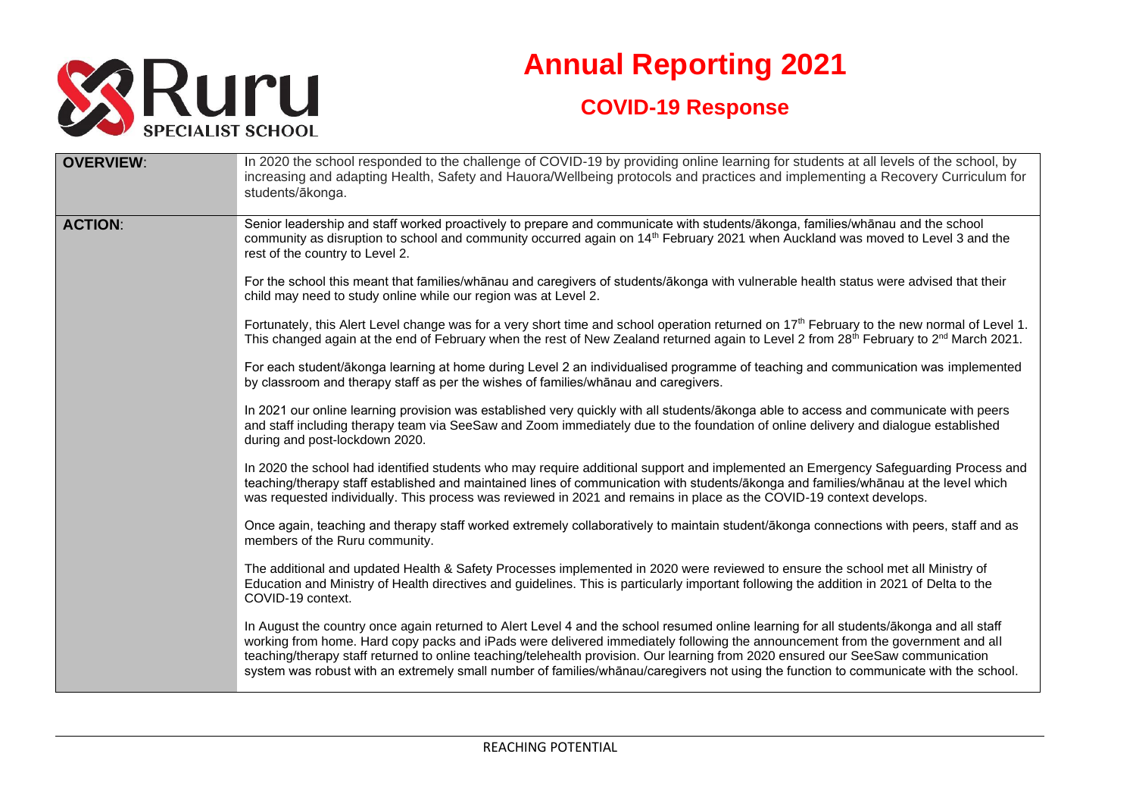

## **Annual Reporting 2021 COVID-19 Response**

| <b>OVERVIEW:</b> | In 2020 the school responded to the challenge of COVID-19 by providing online learning for students at all levels of the school, by<br>increasing and adapting Health, Safety and Hauora/Wellbeing protocols and practices and implementing a Recovery Curriculum for<br>students/ākonga.                                                                                                                                                                                                                                                              |
|------------------|--------------------------------------------------------------------------------------------------------------------------------------------------------------------------------------------------------------------------------------------------------------------------------------------------------------------------------------------------------------------------------------------------------------------------------------------------------------------------------------------------------------------------------------------------------|
| <b>ACTION:</b>   | Senior leadership and staff worked proactively to prepare and communicate with students/ākonga, families/whānau and the school<br>community as disruption to school and community occurred again on 14th February 2021 when Auckland was moved to Level 3 and the<br>rest of the country to Level 2.                                                                                                                                                                                                                                                   |
|                  | For the school this meant that families/whanau and caregivers of students/akonga with vulnerable health status were advised that their<br>child may need to study online while our region was at Level 2.                                                                                                                                                                                                                                                                                                                                              |
|                  | Fortunately, this Alert Level change was for a very short time and school operation returned on 17 <sup>th</sup> February to the new normal of Level 1.<br>This changed again at the end of February when the rest of New Zealand returned again to Level 2 from 28 <sup>th</sup> February to 2 <sup>nd</sup> March 2021.                                                                                                                                                                                                                              |
|                  | For each student/ākonga learning at home during Level 2 an individualised programme of teaching and communication was implemented<br>by classroom and therapy staff as per the wishes of families/whanau and caregivers.                                                                                                                                                                                                                                                                                                                               |
|                  | In 2021 our online learning provision was established very quickly with all students/ākonga able to access and communicate with peers<br>and staff including therapy team via SeeSaw and Zoom immediately due to the foundation of online delivery and dialogue established<br>during and post-lockdown 2020.                                                                                                                                                                                                                                          |
|                  | In 2020 the school had identified students who may require additional support and implemented an Emergency Safeguarding Process and<br>teaching/therapy staff established and maintained lines of communication with students/ākonga and families/whānau at the level which<br>was requested individually. This process was reviewed in 2021 and remains in place as the COVID-19 context develops.                                                                                                                                                    |
|                  | Once again, teaching and therapy staff worked extremely collaboratively to maintain student/ākonga connections with peers, staff and as<br>members of the Ruru community.                                                                                                                                                                                                                                                                                                                                                                              |
|                  | The additional and updated Health & Safety Processes implemented in 2020 were reviewed to ensure the school met all Ministry of<br>Education and Ministry of Health directives and guidelines. This is particularly important following the addition in 2021 of Delta to the<br>COVID-19 context.                                                                                                                                                                                                                                                      |
|                  | In August the country once again returned to Alert Level 4 and the school resumed online learning for all students/ākonga and all staff<br>working from home. Hard copy packs and iPads were delivered immediately following the announcement from the government and all<br>teaching/therapy staff returned to online teaching/telehealth provision. Our learning from 2020 ensured our SeeSaw communication<br>system was robust with an extremely small number of families/whanau/caregivers not using the function to communicate with the school. |